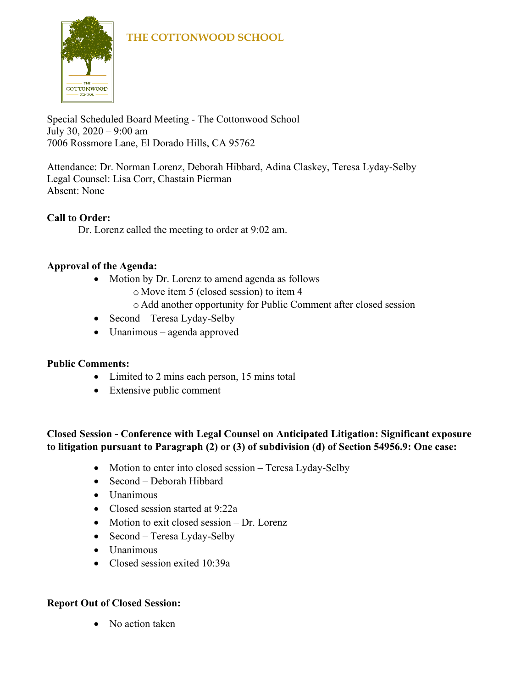

Special Scheduled Board Meeting - The Cottonwood School July 30, 2020 – 9:00 am 7006 Rossmore Lane, El Dorado Hills, CA 95762

Attendance: Dr. Norman Lorenz, Deborah Hibbard, Adina Claskey, Teresa Lyday-Selby Legal Counsel: Lisa Corr, Chastain Pierman Absent: None

#### **Call to Order:**

Dr. Lorenz called the meeting to order at 9:02 am.

#### **Approval of the Agenda:**

- Motion by Dr. Lorenz to amend agenda as follows
	- o Move item 5 (closed session) to item 4
	- o Add another opportunity for Public Comment after closed session
- Second Teresa Lyday-Selby
- Unanimous agenda approved

#### **Public Comments:**

- Limited to 2 mins each person, 15 mins total
- Extensive public comment

### **Closed Session - Conference with Legal Counsel on Anticipated Litigation: Significant exposure to litigation pursuant to Paragraph (2) or (3) of subdivision (d) of Section 54956.9: One case:**

- Motion to enter into closed session Teresa Lyday-Selby
- Second Deborah Hibbard
- Unanimous
- Closed session started at 9:22a
- Motion to exit closed session Dr. Lorenz
- Second Teresa Lyday-Selby
- Unanimous
- Closed session exited 10:39a

#### **Report Out of Closed Session:**

• No action taken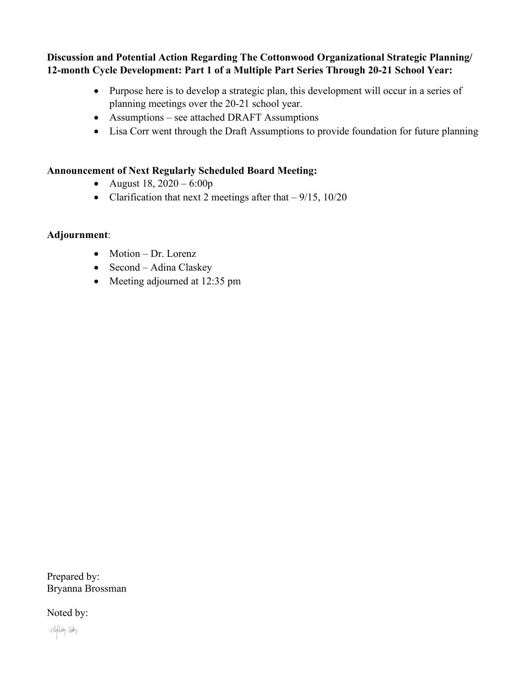**Discussion and Potential Action Regarding The Cottonwood Organizational Strategic Planning/ 12-month Cycle Development: Part 1 of a Multiple Part Series Through 20-21 School Year:**

- Purpose here is to develop a strategic plan, this development will occur in a series of planning meetings over the 20-21 school year.
- Assumptions see attached DRAFT Assumptions
- Lisa Corr went through the Draft Assumptions to provide foundation for future planning

#### **Announcement of Next Regularly Scheduled Board Meeting:**

- August 18,  $2020 6:00p$
- Clarification that next 2 meetings after that  $-9/15$ ,  $10/20$

#### **Adjournment**:

- Motion Dr. Lorenz
- Second Adina Claskey
- Meeting adjourned at 12:35 pm

Prepared by: Bryanna Brossman

Noted by:

Hylay-Soby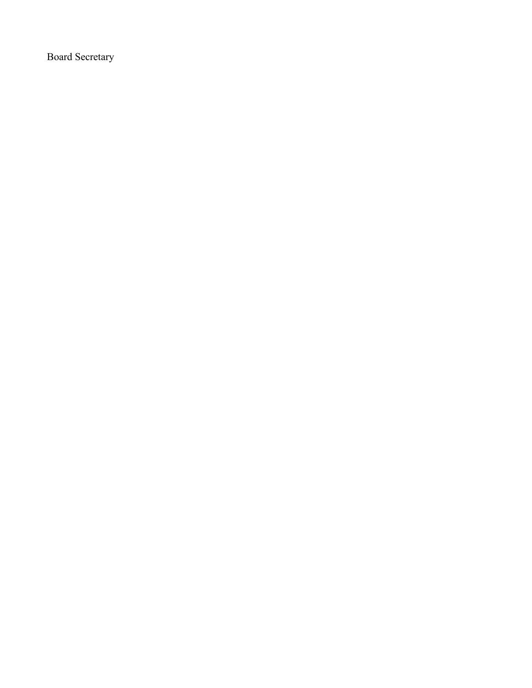Board Secretary